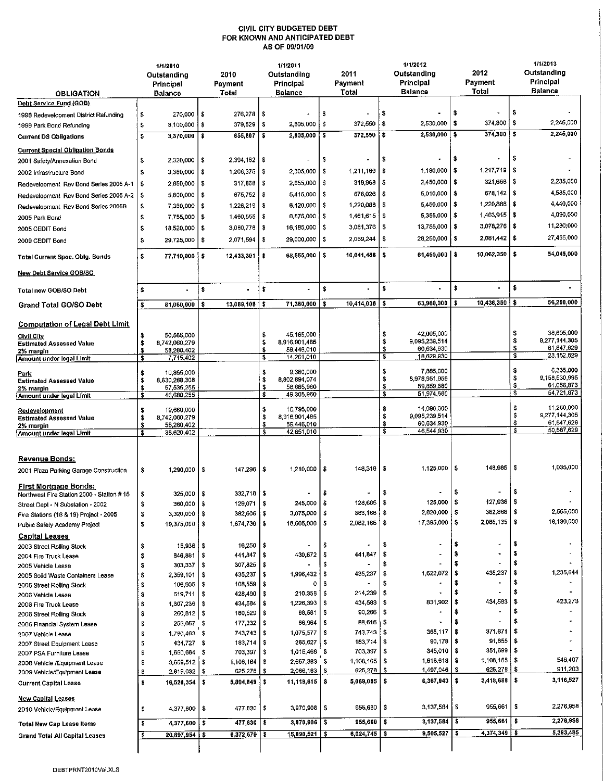## CIVIL CITY BUDGETED DEBT FOR KNOWN AND ANTICIPATED DEBT AS OF 09/01/09

|                                                                         | 1/1/2010<br>Outstanding<br>Principal<br><b>Balance</b> |                                           | 2010<br>Payment<br>Total |                              | 1/1/2011<br>Outstanding<br>Principal<br><b>Balance</b> |                                | 2011<br>Payment<br>Total |                                       | 1/1/2012<br>Outstanding<br><b>Principal</b><br><b>Balance</b> |                             | 2012<br>Payment<br>Total |                           | 1/1/2013<br>Outstanding<br>Principal<br><b>Balance</b> |                             |
|-------------------------------------------------------------------------|--------------------------------------------------------|-------------------------------------------|--------------------------|------------------------------|--------------------------------------------------------|--------------------------------|--------------------------|---------------------------------------|---------------------------------------------------------------|-----------------------------|--------------------------|---------------------------|--------------------------------------------------------|-----------------------------|
| <b>OBLIGATION</b><br>Debt Service Fund (GOB)                            |                                                        |                                           |                          |                              |                                                        |                                |                          |                                       |                                                               |                             |                          |                           |                                                        |                             |
|                                                                         |                                                        | 270,000                                   | ŝ                        | 276,278                      | -S                                                     |                                | \$                       |                                       | \$                                                            |                             | s                        |                           | \$                                                     |                             |
| 1998 Redevelopment District Refunding<br>1999 Park Bond Refunding       | \$<br>\$                                               | 3,100,000                                 | s                        | 379,529                      | S                                                      | 2,805,000                      | \$                       | 372,550                               | \$                                                            | 2,530,000                   | \$                       | 374,300                   | \$                                                     | 2,245,000                   |
|                                                                         | \$                                                     | 3,370,000                                 | ۱s                       | 655,807                      | $\bullet$                                              | 2,805,000                      | 'S                       | $372,550$ \$                          |                                                               | 2,530,000                   | \$                       | 374,300                   | \$                                                     | 2,245,000                   |
| <b>Current DS Obligations</b>                                           |                                                        |                                           |                          |                              |                                                        |                                |                          |                                       |                                                               |                             |                          |                           |                                                        |                             |
| <b>Current Special Obligation Bonds</b>                                 |                                                        |                                           |                          |                              |                                                        |                                |                          |                                       |                                                               |                             | \$                       |                           | s                                                      |                             |
| 2001 Safety/Annexation Bond                                             | \$                                                     | 2,320,000                                 | \$                       | $2,394,162$   \$             |                                                        |                                | \$                       |                                       | ŝ                                                             |                             |                          |                           |                                                        |                             |
| 2002 Infrastructure Bond                                                | \$                                                     | 3,380,000                                 | -\$                      | 1,206,375   \$               |                                                        | 2.305,000                      | - \$                     | 1,211,169                             | 5                                                             | 1,180,000                   | \$                       | 1,217,719                 | -\$                                                    |                             |
| Redevelopment Rev Bond Series 2005 A-1                                  | \$                                                     | 2,850,000                                 | l \$                     | $317,868$ $\frac{8}{3}$      |                                                        | 2,655,000 \$                   |                          | 319,968                               | l \$                                                          | 2,450,000                   | \$                       | 321,668                   | -8                                                     | 2,235,000                   |
| Redevelopment Rev Bond Series 2005 A-2                                  | \$                                                     | 5,800,000                                 | l \$                     | $675,752$ $\frac{1}{5}$      |                                                        | 5415,000 \$                    |                          | 678,026   \$                          |                                                               | 5,010,000                   | \$                       | 678,142                   | -\$                                                    | 4,585,000                   |
| Redevelopment Rev Bond Series 2005B                                     | \$                                                     | 7,360,000                                 | ∣\$                      | $1,226,219$ \$               |                                                        | 6.420,000 \$                   |                          | $1,220,088$   \$                      |                                                               | 5,450,000                   | \$                       | 1,220,888                 | \$                                                     | 4,440,000                   |
| 2005 Park Bond                                                          | \$                                                     | 7,755,000                                 | -\$                      | $1,460,555$ \$               |                                                        | 6,575,000 \$                   |                          | 1,461,615                             | -\$                                                           | 5,355,000                   | \$                       | 1,463,915                 | $\sqrt{3}$                                             | 4,090,000                   |
| 2005 CEDIT Bond                                                         | \$                                                     | 18,520,000                                | S                        | $3,080,776$ \$               |                                                        | 16 185,000                     | \$                       | 3,081.376                             | \$                                                            | 13,755,000                  | \$                       | 3,078,276                 | -\$                                                    | 11,230,000                  |
| 2009 CEDIT Bond                                                         | \$                                                     | 29,725,000                                | \$                       | 2,071,594                    | Ş                                                      | 29,000,000                     | \$                       | 2,069.244                             | \$                                                            | 28,250,000                  | - \$                     | 2,081,442                 | -\$                                                    | 27,465,000                  |
| Total Current Spec. Oblg. Bonds                                         | $\mathbf{s}$                                           | 77,710,000 \$                             |                          | 12.433,301                   | \$                                                     | 68,555,000 \$                  |                          | 10,041,486                            | \$                                                            | 61,450,000 S                |                          | 10,062,050                | -\$                                                    | 54,045,000                  |
| New Debt Service GOB/SO                                                 |                                                        |                                           |                          |                              |                                                        |                                |                          |                                       |                                                               |                             |                          |                           |                                                        |                             |
| Total new GOB/SO Debt                                                   | \$                                                     |                                           | \$                       |                              | \$                                                     |                                | \$                       |                                       | \$                                                            |                             | \$                       |                           | \$                                                     |                             |
| <b>Grand Total GO/SO Debt</b>                                           | s                                                      | 81,080,000                                | \$                       | 13,089,108                   | s                                                      | 71.360,000                     | \$                       | 10,414,036                            | \$                                                            | 63,980,000                  | \$                       | 10,436,350                | \$                                                     | 56,290,000                  |
| <b>Computation of Legal Debt Limit</b>                                  |                                                        |                                           |                          |                              |                                                        |                                |                          |                                       |                                                               |                             |                          |                           |                                                        |                             |
| Civil City                                                              | \$                                                     | 50,565,000                                |                          |                              | \$                                                     | 45.185,000                     |                          |                                       | \$                                                            | 42,005,000                  |                          |                           | \$                                                     | 38,695,000                  |
| <b>Estimated Assessed Value</b>                                         | \$<br>\$                                               | 8 742,060,279<br>58,280,402               |                          |                              | \$<br>S                                                | 8.916.901.485<br>59,446,010    |                          |                                       | \$<br>\$                                                      | 9,095,239,514<br>60,634,930 |                          |                           | \$<br>S                                                | 9,277,144,305<br>61,847,629 |
| 2% margin<br>Amount under legal Limit                                   | \$                                                     | 7,715,402                                 |                          |                              | S                                                      | 14.261,010                     |                          |                                       | \$                                                            | 18,629,930                  |                          |                           | $\overline{\mathbf{s}}$                                | 23,152,629                  |
| Park<br><b>Estimated Assessed Value</b>                                 | \$<br>\$                                               | 10,855,000<br>8,630,288,308               |                          |                              | \$<br>\$                                               | 9,380,000<br>8,802 894,074     |                          |                                       | \$<br>\$                                                      | 7,885,000<br>8,978,951,956  |                          |                           | \$<br>\$                                               | 6,335,000<br>9,158,530,995  |
| 2% margin                                                               | \$<br>\$                                               | 57,535,255<br>46,680,255                  |                          |                              | \$<br>\$                                               | 58.685,960<br>49.305,960       |                          |                                       | \$<br>\$                                                      | 59,859,680<br>51,974,680    |                          |                           | \$<br>$\bullet$                                        | 61,056,873<br>54,721,873    |
| Amount under legal Limit                                                |                                                        |                                           |                          |                              |                                                        |                                |                          |                                       |                                                               |                             |                          |                           |                                                        |                             |
| Redevelopment<br><b>Estimated Assessed Value</b>                        | s<br>\$                                                | 19,660,000<br>8,742,060,279               |                          |                              | \$<br>`\$                                              | 16,795,000<br>8,916.901,485    |                          |                                       | \$<br>\$                                                      | 14,090,000<br>9,095,239,514 |                          |                           | \$<br>\$                                               | 11,260,000<br>9,277,144,305 |
| 2% margin                                                               | \$                                                     | 58,280,402                                |                          |                              | \$                                                     | 59,446,010                     |                          |                                       | \$                                                            | 60,634,930                  |                          |                           | \$                                                     | 61,847,629                  |
| Amount under legal Limit                                                | $\overline{\mathbf{s}}$                                | 38,620,402                                |                          |                              | \$                                                     | 42,651,010                     |                          |                                       | s                                                             | 46,544,930                  |                          |                           | \$                                                     | 50,587,629                  |
| Revenue Bonds:<br>2001 Plaza Parking Garage Construction                | \$                                                     | 1,290,000 \$                              |                          | 147,296                      | s                                                      | 1,210,000                      | - \$                     | $148.318$ $\overline{\phantom{1}}$ \$ |                                                               | $1.125000$   \$             |                          | 148,985   \$              |                                                        | 1,035,000                   |
| First Mortgage Bonds:                                                   |                                                        |                                           |                          |                              |                                                        |                                |                          |                                       |                                                               |                             | \$                       |                           | \$                                                     |                             |
| Northwest Fire Station 2000 - Station #15                               | \$                                                     | 325,000                                   | -5                       | 332,718                      | \$                                                     |                                | \$                       |                                       | \$                                                            | 125,000                     |                          | 127,936                   |                                                        |                             |
| Street Dept - N Substation - 2002                                       | \$                                                     | 360,000   \$<br>$3,320,000$ $\frac{1}{5}$ |                          | 129,071   \$<br>382,606   \$ |                                                        | 245,000   \$<br>$3,075,000$ \$ |                          | 128,665<br>383,168   \$               |                                                               | 2,820,000                   | \$                       | 382,868                   | \$                                                     | 2,555,000                   |
| Fire Stations (18 & 19) Project - 2005<br>Public Safety Academy Project | \$<br>\$                                               | 19,375,000 \$                             |                          | $1,674,736$   \$             |                                                        | 18,605,000 \$                  |                          | 2,082,165   \$                        |                                                               | 17,395,000                  | l \$                     | $2,085,135$   \$          |                                                        | 16,130,000                  |
|                                                                         |                                                        |                                           |                          |                              |                                                        |                                |                          |                                       |                                                               |                             |                          |                           |                                                        |                             |
| <u>Capital Leases</u><br>2003 Street Rolling Stock                      | \$                                                     | 15,936                                    | \$                       | 16,250   \$                  |                                                        |                                | \$                       |                                       | \$                                                            |                             | S                        |                           |                                                        |                             |
| 2004 Fire Truck Lease                                                   | \$                                                     | 846,861   \$                              |                          | 441,847   \$                 |                                                        | 430,672                        | - \$                     | 441,847                               | - 5                                                           |                             | 5                        |                           |                                                        |                             |
| 2005 Vehicle Lease                                                      | \$                                                     | 303,337                                   | -\$                      | 307,825   \$                 |                                                        |                                |                          |                                       | S                                                             |                             |                          |                           |                                                        |                             |
| 2005 Solid Waste Containers Lease                                       | \$                                                     | 2,359,101   \$                            |                          | 435,237   \$                 |                                                        | 1.996,432                      | - \$                     | 435.237                               | -5                                                            | 1.622,072                   | \$                       | 435,237                   | \$                                                     | 1,235,644                   |
| 2005 Street Rolling Stock                                               | \$                                                     | $106,905$   \$                            |                          | $108,559$ $\frac{1}{8}$      |                                                        |                                | s                        |                                       | \$                                                            |                             | S                        |                           | \$                                                     |                             |
| 2006 Vehicle Lease                                                      | \$                                                     | 619,711                                   | - \$                     | 428,490                      | \$                                                     | 210,356                        | \$                       | 214,239                               | ŝ                                                             |                             | \$                       |                           | \$                                                     |                             |
| 2006 Fire Truck Lease                                                   | \$                                                     | 1,607,236                                 | -\$                      | 434,584   \$                 |                                                        | 1,226,393                      | s                        | 434,583   \$                          |                                                               | 831,902                     | - 5                      | 434,583                   | \$<br>\$                                               | 423,273                     |
| 2006 Street Rolling Stock                                               | \$                                                     | 260,812   \$                              |                          | 180,529<br>177,232           | \$<br>\$                                               | 88,581<br>86,964               | \$<br>-S                 | 90,266<br>$88,616$ $\frac{1}{3}$      | \$                                                            |                             | S                        |                           |                                                        |                             |
| 2006 Financial System Lease                                             | \$<br>\$                                               | 256,057<br>1,760,463 \$                   | -5                       | 743,743                      | \$                                                     | 1,075,577                      | -5                       | 743,743                               | -\$                                                           | 365,117                     | \$                       | 371,871                   | \$                                                     |                             |
| 2007 Vehicle Lease<br>2007 Street Equipment Lease                       | \$                                                     | 434,727 \$                                |                          | 183,714                      | \$                                                     | 265,627                        | -\$                      | 183,714                               | \$                                                            | 90,178                      | - \$                     | 91,855                    | s                                                      |                             |
| 2007 PSA Furniture Lease                                                | \$                                                     | 1,660,664 \$                              |                          | 703,397                      | \$                                                     | 1.015,468                      |                          | 703,397                               | - 5                                                           | 345,010                     | - \$                     | 351,699                   | \$                                                     |                             |
| 2008 Vehicle /Equipment Lease                                           | \$                                                     | 3,669,512   \$                            |                          | 1,108,164                    | \$                                                     | 2,657,383                      | -5                       | $1,108,165$   \$                      |                                                               | 1,616,618                   | \$                       | 1,108,165                 | \$                                                     | 546,407                     |
| 2009 Vehicle/Equipment Lease                                            | \$                                                     | $2,619,032$   \$                          |                          | 625,278                      | s                                                      | 2,066,163                      |                          | 625,278                               | \$                                                            | 1,497,046                   | \$                       | 625,278                   | - \$                                                   | 911,203                     |
| <b>Current Capital Lease</b>                                            | \$                                                     | $16,520,354$ \\$                          |                          | 5,894,849                    | \$                                                     | 11,119,615                     | \$                       | 5,069,085                             | \$                                                            | $6,367,943$ \$              |                          | $3,418,688$ $\frac{8}{3}$ |                                                        | 3,116,527                   |
| <u>New Capital Leases</u><br>2010 Vehicle/Equipment Lease               | \$                                                     | 4,377,600   \$                            |                          | 477,830                      | \$.                                                    | 3,970,906                      | \$                       | 955,660   \$                          |                                                               | $3.137,584$   \$            |                          | 955,661                   | -5                                                     | 2,276,958                   |
| Total New Cap Lease Items                                               | \$                                                     | 4,377,600                                 | -\$                      | 477,830                      | \$                                                     | 3,970,906                      | s                        | 955,660                               | ÷                                                             | $3,137,584$   \$            |                          | 955,661                   | $\ddot{\bullet}$                                       | 2,276,958                   |
| Grand Total All Capital Leases                                          | s                                                      | $20,897,954$   \$                         |                          | 6,372,679                    |                                                        | 15,090,521                     |                          | $6,024,745$ \$                        |                                                               | $9,505,527$ \$              |                          | 4,374,349                 | <u>  S</u>                                             | 5,393,485                   |
|                                                                         |                                                        |                                           |                          |                              |                                                        |                                |                          |                                       |                                                               |                             |                          |                           |                                                        |                             |